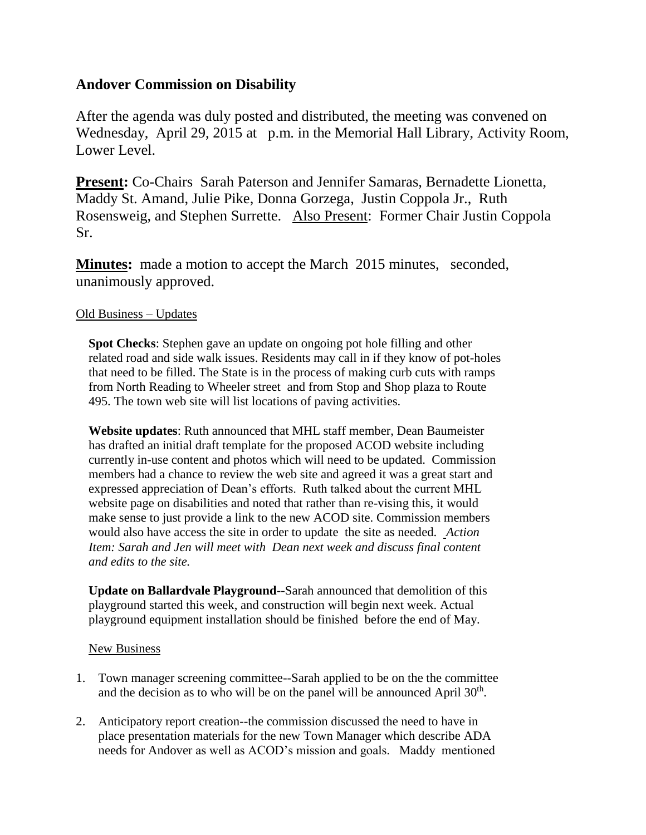## **Andover Commission on Disability**

After the agenda was duly posted and distributed, the meeting was convened on Wednesday, April 29, 2015 at p.m. in the Memorial Hall Library, Activity Room, Lower Level.

**Present:** Co-Chairs Sarah Paterson and Jennifer Samaras, Bernadette Lionetta, Maddy St. Amand, Julie Pike, Donna Gorzega, Justin Coppola Jr., Ruth Rosensweig, and Stephen Surrette. Also Present: Former Chair Justin Coppola Sr.

**Minutes:** made a motion to accept the March 2015 minutes, seconded, unanimously approved.

## Old Business – Updates

**Spot Checks**: Stephen gave an update on ongoing pot hole filling and other related road and side walk issues. Residents may call in if they know of pot-holes that need to be filled. The State is in the process of making curb cuts with ramps from North Reading to Wheeler street and from Stop and Shop plaza to Route 495. The town web site will list locations of paving activities.

**Website updates**: Ruth announced that MHL staff member, Dean Baumeister has drafted an initial draft template for the proposed ACOD website including currently in-use content and photos which will need to be updated. Commission members had a chance to review the web site and agreed it was a great start and expressed appreciation of Dean's efforts. Ruth talked about the current MHL website page on disabilities and noted that rather than re-vising this, it would make sense to just provide a link to the new ACOD site. Commission members would also have access the site in order to update the site as needed. *Action Item: Sarah and Jen will meet with Dean next week and discuss final content and edits to the site.*

**Update on Ballardvale Playground**--Sarah announced that demolition of this playground started this week, and construction will begin next week. Actual playground equipment installation should be finished before the end of May.

## New Business

- 1. Town manager screening committee--Sarah applied to be on the the committee and the decision as to who will be on the panel will be announced April  $30<sup>th</sup>$ .
- 2. Anticipatory report creation--the commission discussed the need to have in place presentation materials for the new Town Manager which describe ADA needs for Andover as well as ACOD's mission and goals. Maddy mentioned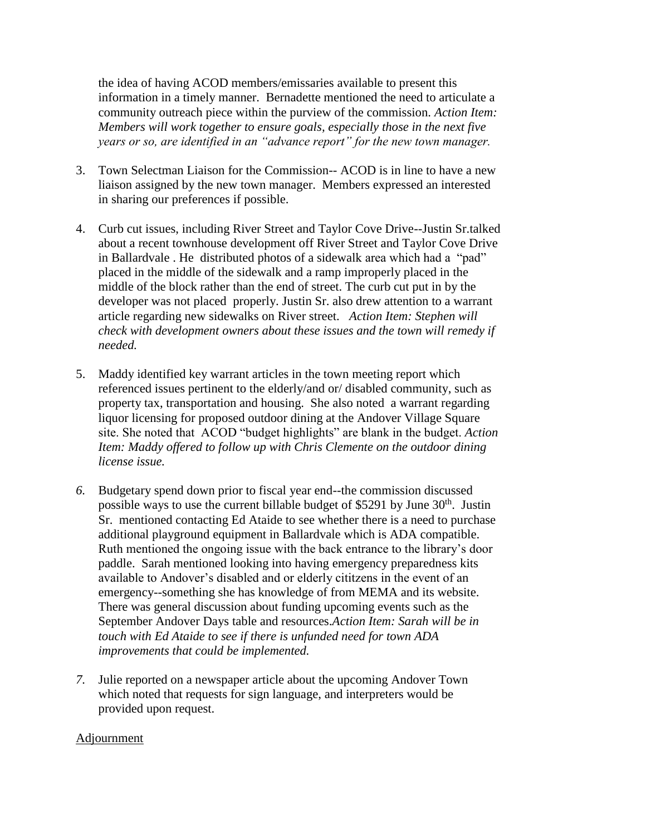the idea of having ACOD members/emissaries available to present this information in a timely manner. Bernadette mentioned the need to articulate a community outreach piece within the purview of the commission. *Action Item: Members will work together to ensure goals, especially those in the next five years or so, are identified in an "advance report" for the new town manager.*

- 3. Town Selectman Liaison for the Commission-- ACOD is in line to have a new liaison assigned by the new town manager. Members expressed an interested in sharing our preferences if possible.
- 4. Curb cut issues, including River Street and Taylor Cove Drive--Justin Sr.talked about a recent townhouse development off River Street and Taylor Cove Drive in Ballardvale . He distributed photos of a sidewalk area which had a "pad" placed in the middle of the sidewalk and a ramp improperly placed in the middle of the block rather than the end of street. The curb cut put in by the developer was not placed properly. Justin Sr. also drew attention to a warrant article regarding new sidewalks on River street. *Action Item: Stephen will check with development owners about these issues and the town will remedy if needed.*
- 5. Maddy identified key warrant articles in the town meeting report which referenced issues pertinent to the elderly/and or/ disabled community, such as property tax, transportation and housing. She also noted a warrant regarding liquor licensing for proposed outdoor dining at the Andover Village Square site. She noted that ACOD "budget highlights" are blank in the budget. *Action Item: Maddy offered to follow up with Chris Clemente on the outdoor dining license issue.*
- *6.* Budgetary spend down prior to fiscal year end--the commission discussed possible ways to use the current billable budget of \$5291 by June 30th. Justin Sr. mentioned contacting Ed Ataide to see whether there is a need to purchase additional playground equipment in Ballardvale which is ADA compatible. Ruth mentioned the ongoing issue with the back entrance to the library's door paddle. Sarah mentioned looking into having emergency preparedness kits available to Andover's disabled and or elderly cititzens in the event of an emergency--something she has knowledge of from MEMA and its website. There was general discussion about funding upcoming events such as the September Andover Days table and resources.*Action Item: Sarah will be in touch with Ed Ataide to see if there is unfunded need for town ADA improvements that could be implemented.*
- *7.* Julie reported on a newspaper article about the upcoming Andover Town which noted that requests for sign language, and interpreters would be provided upon request.

## Adjournment